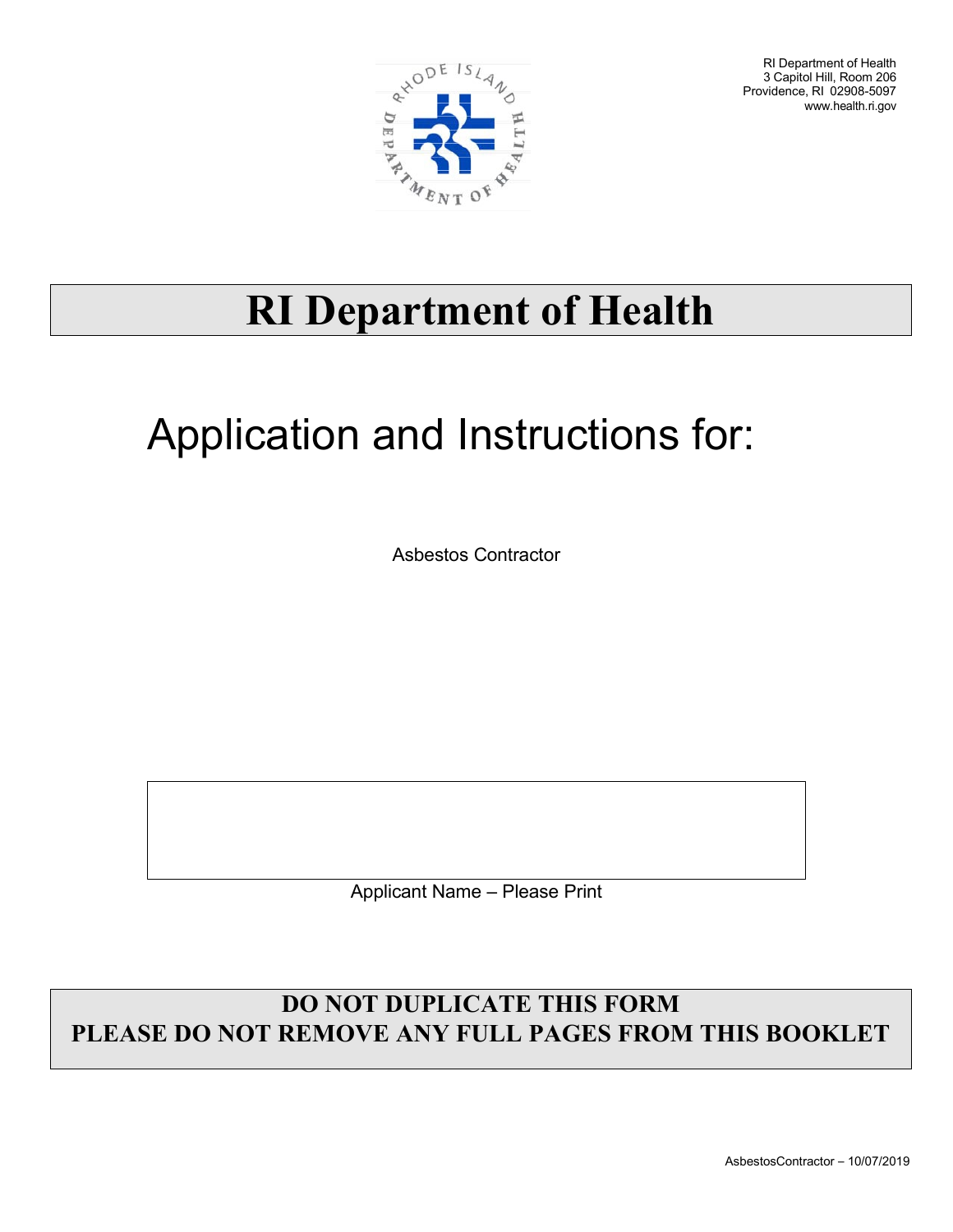

RI Department of Health 3 Capitol Hill, Room 206 Providence, RI 02908-5097 [www.health.ri.gov](http://www.health.ri.gov/)

## **RI Department of Health**

## Application and Instructions for:

Asbestos Contractor

Applicant Name – Please Print

## **DO NOT DUPLICATE THIS FORM PLEASE DO NOT REMOVE ANY FULL PAGES FROM THIS BOOKLET**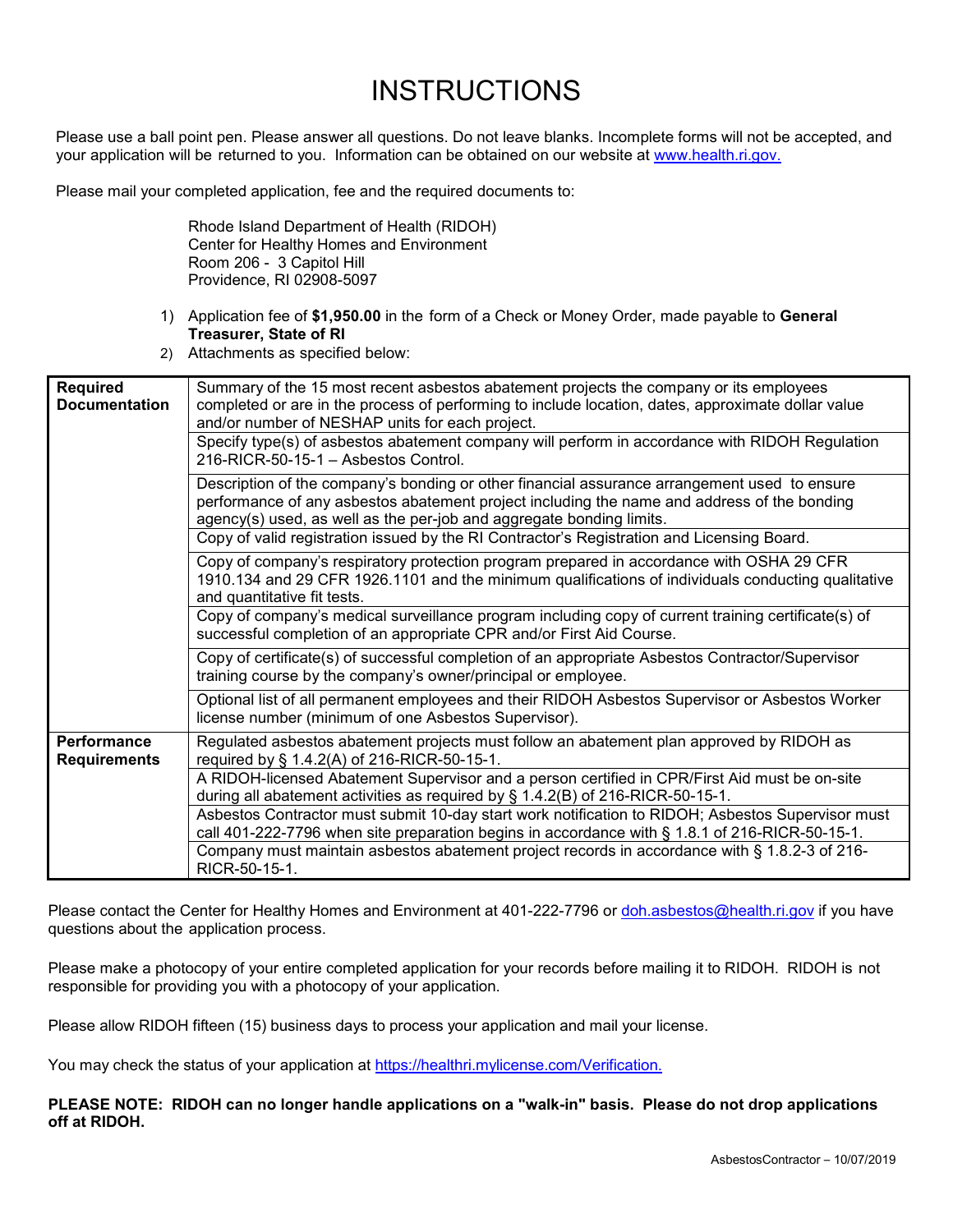## **INSTRUCTIONS**

Please use a ball point pen. Please answer all questions. Do not leave blanks. Incomplete forms will not be accepted, and your application will be returned to you. Information can be obtained on our website at [www.health.ri.gov.](http://www.health.ri.gov/)

Please mail your completed application, fee and the required documents to:

Rhode Island Department of Health (RIDOH) Center for Healthy Homes and Environment Room 206 - 3 Capitol Hill Providence, RI 02908-5097

- 1) Application fee of **\$1,950.00** in the form of a Check or Money Order, made payable to **General Treasurer, State of RI**
- 2) Attachments as specified below:

| <b>Required</b>                           | Summary of the 15 most recent asbestos abatement projects the company or its employees                                                                                                                                                                              |
|-------------------------------------------|---------------------------------------------------------------------------------------------------------------------------------------------------------------------------------------------------------------------------------------------------------------------|
| <b>Documentation</b>                      | completed or are in the process of performing to include location, dates, approximate dollar value<br>and/or number of NESHAP units for each project.                                                                                                               |
|                                           | Specify type(s) of asbestos abatement company will perform in accordance with RIDOH Regulation<br>216-RICR-50-15-1 - Asbestos Control.                                                                                                                              |
|                                           | Description of the company's bonding or other financial assurance arrangement used to ensure<br>performance of any asbestos abatement project including the name and address of the bonding<br>agency(s) used, as well as the per-job and aggregate bonding limits. |
|                                           | Copy of valid registration issued by the RI Contractor's Registration and Licensing Board.                                                                                                                                                                          |
|                                           | Copy of company's respiratory protection program prepared in accordance with OSHA 29 CFR<br>1910.134 and 29 CFR 1926.1101 and the minimum qualifications of individuals conducting qualitative<br>and quantitative fit tests.                                       |
|                                           | Copy of company's medical surveillance program including copy of current training certificate(s) of<br>successful completion of an appropriate CPR and/or First Aid Course.                                                                                         |
|                                           | Copy of certificate(s) of successful completion of an appropriate Asbestos Contractor/Supervisor<br>training course by the company's owner/principal or employee.                                                                                                   |
|                                           | Optional list of all permanent employees and their RIDOH Asbestos Supervisor or Asbestos Worker<br>license number (minimum of one Asbestos Supervisor).                                                                                                             |
| <b>Performance</b><br><b>Requirements</b> | Regulated asbestos abatement projects must follow an abatement plan approved by RIDOH as<br>required by § 1.4.2(A) of 216-RICR-50-15-1.                                                                                                                             |
|                                           | A RIDOH-licensed Abatement Supervisor and a person certified in CPR/First Aid must be on-site<br>during all abatement activities as required by $\S$ 1.4.2(B) of 216-RICR-50-15-1.                                                                                  |
|                                           | Asbestos Contractor must submit 10-day start work notification to RIDOH; Asbestos Supervisor must<br>call 401-222-7796 when site preparation begins in accordance with § 1.8.1 of 216-RICR-50-15-1.                                                                 |
|                                           | Company must maintain asbestos abatement project records in accordance with § 1.8.2-3 of 216-<br>RICR-50-15-1.                                                                                                                                                      |

Please contact the Center for Healthy Homes and Environment at 401-222-7796 or [doh.asbestos@health.ri.gov](mailto:doh.asbestos@health.ri.gov) if you have questions about the application process.

Please make a photocopy of your entire completed application for your records before mailing it to RIDOH. RIDOH is not responsible for providing you with a photocopy of your application.

Please allow RIDOH fifteen (15) business days to process your application and mail your license.

You may check the status of your application at [https://healthri.mylicense.com/Verification.](https://healthri.mylicense.com/Verification)

**PLEASE NOTE: RIDOH can no longer handle applications on a "walk-in" basis. Please do not drop applications off at RIDOH.**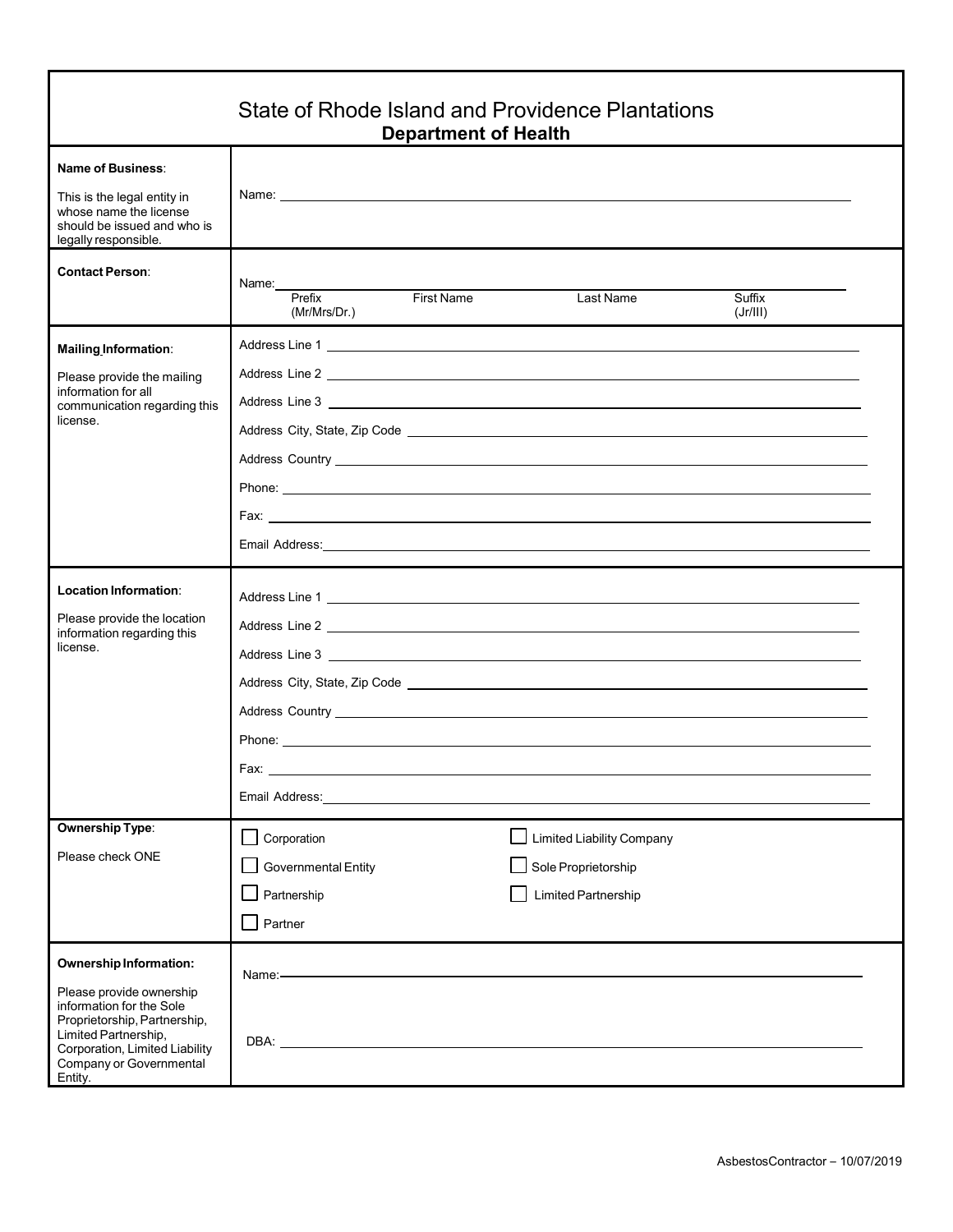|                                                                                                                                                                                                                | State of Rhode Island and Providence Plantations                                                                                                                                                                                                                                                       | <b>Department of Health</b> |                                                                                |                    |  |
|----------------------------------------------------------------------------------------------------------------------------------------------------------------------------------------------------------------|--------------------------------------------------------------------------------------------------------------------------------------------------------------------------------------------------------------------------------------------------------------------------------------------------------|-----------------------------|--------------------------------------------------------------------------------|--------------------|--|
| Name of Business:<br>This is the legal entity in<br>whose name the license<br>should be issued and who is<br>legally responsible.                                                                              | Name: <u>2000 - 2000 - 2000 - 2000 - 2000 - 2000 - 2000 - 2000 - 2000 - 2000 - 2000 - 2000 - 2000 - 2000 - 2000 - 2000 - 2000 - 2000 - 2000 - 2000 - 2000 - 2000 - 2000 - 2000 - 2000 - 2000 - 2000 - 2000 - 2000 - 2000 - 2000 </u>                                                                   |                             |                                                                                |                    |  |
| <b>Contact Person:</b>                                                                                                                                                                                         | Name:<br>Prefix<br>(Mr/Mrs/Dr.)                                                                                                                                                                                                                                                                        | First Name                  | Last Name                                                                      | Suffix<br>(Jr/III) |  |
| <b>Mailing Information:</b><br>Please provide the mailing<br>information for all<br>communication regarding this<br>license.                                                                                   | Address Country <u>example and the contract of the contract of the contract of the contract of the contract of the contract of the contract of the contract of the contract of the contract of the contract of the contract of t</u>                                                                   |                             |                                                                                |                    |  |
| Location Information:<br>Please provide the location<br>information regarding this<br>license.                                                                                                                 | Address Line 1<br>Address Country <u>example and the second second second second second second second second second second second second second second second second second second second second second second second second second second second </u><br>Fax:<br>Email Address: <b>Email Address:</b> |                             |                                                                                |                    |  |
| <b>Ownership Type:</b><br>Please check ONE                                                                                                                                                                     | Corporation<br>Governmental Entity<br>Partnership<br>Partner                                                                                                                                                                                                                                           |                             | <b>Limited Liability Company</b><br>Sole Proprietorship<br>Limited Partnership |                    |  |
| Ownership Information:<br>Please provide ownership<br>information for the Sole<br>Proprietorship, Partnership,<br>Limited Partnership,<br>Corporation, Limited Liability<br>Company or Governmental<br>Entity. | Name:-<br>DBA: the contract of the contract of the contract of the contract of the contract of the contract of the contract of the contract of the contract of the contract of the contract of the contract of the contract of the contr                                                               |                             |                                                                                |                    |  |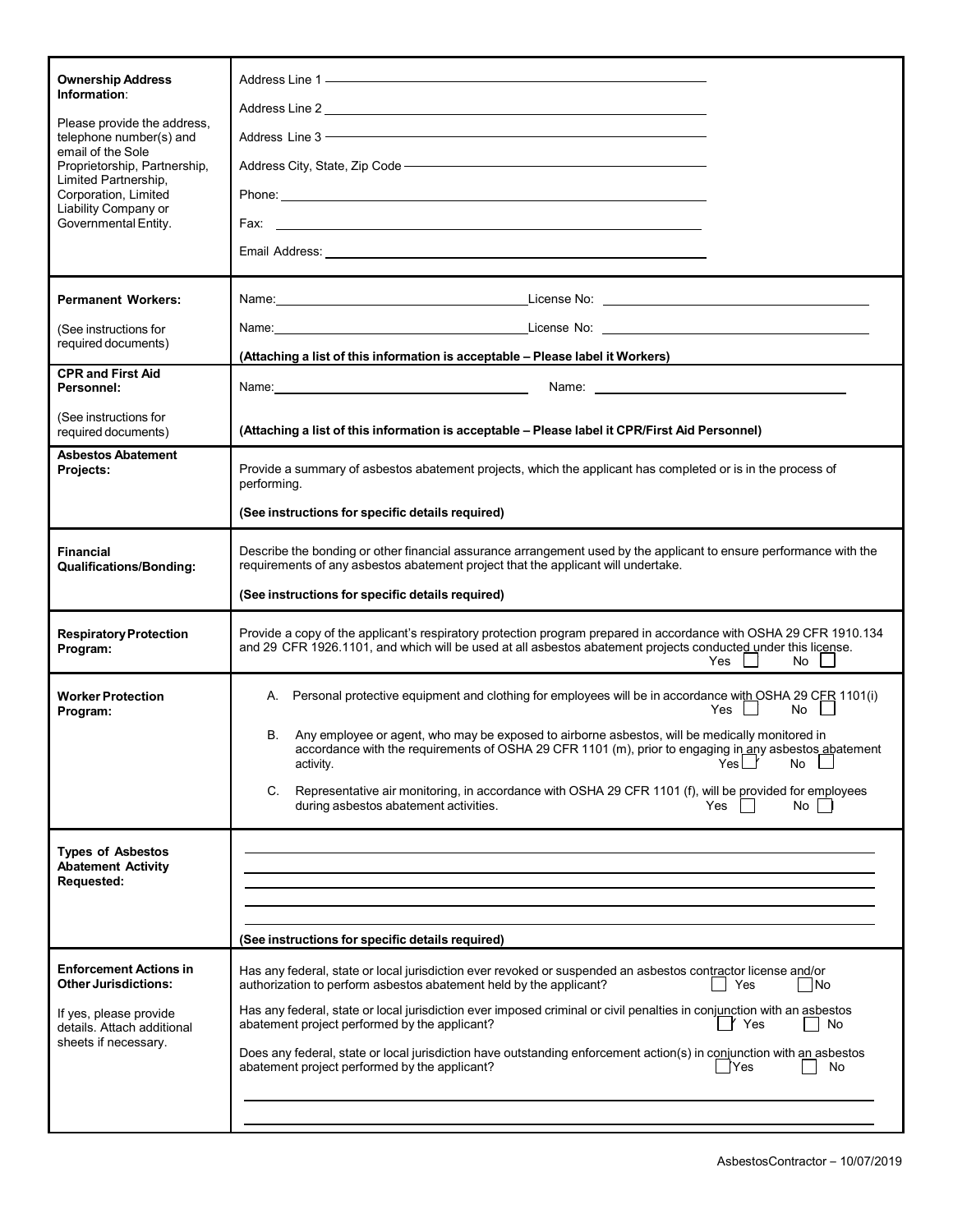| <b>Ownership Address</b><br>Information:<br>Please provide the address,<br>telephone number(s) and<br>email of the Sole<br>Proprietorship, Partnership,<br>Limited Partnership,<br>Corporation, Limited<br>Liability Company or<br>Governmental Entity. | Address Line 1 - Address Line 1 - Address Line 1 - Address Line 1 - Address Line 1 - Address Line 1 - Address<br>Address Line 2 and 2 and 2 and 2 and 2 and 2 and 2 and 2 and 2 and 2 and 2 and 2 and 2 and 2 and 2 and 2 and 2<br>Address Line 3 - The Commission of the Commission of the Commission of the Commission of the Commission of the<br>Address City, State, Zip Code - Manual Community of the Contract of the Address City, State, Zip Code - Manual                                                                                                              |  |
|---------------------------------------------------------------------------------------------------------------------------------------------------------------------------------------------------------------------------------------------------------|----------------------------------------------------------------------------------------------------------------------------------------------------------------------------------------------------------------------------------------------------------------------------------------------------------------------------------------------------------------------------------------------------------------------------------------------------------------------------------------------------------------------------------------------------------------------------------|--|
| <b>Permanent Workers:</b><br>(See instructions for<br>required documents)                                                                                                                                                                               | (Attaching a list of this information is acceptable - Please label it Workers)                                                                                                                                                                                                                                                                                                                                                                                                                                                                                                   |  |
| <b>CPR and First Aid</b><br>Personnel:                                                                                                                                                                                                                  | Name: Name:<br>Name: We have a state of the state of the state of the state of the state of the state of the state of the state of the state of the state of the state of the state of the state of the state of the state of the state of th                                                                                                                                                                                                                                                                                                                                    |  |
| (See instructions for<br>required documents)                                                                                                                                                                                                            | (Attaching a list of this information is acceptable - Please label it CPR/First Aid Personnel)                                                                                                                                                                                                                                                                                                                                                                                                                                                                                   |  |
| <b>Asbestos Abatement</b><br>Projects:                                                                                                                                                                                                                  | Provide a summary of asbestos abatement projects, which the applicant has completed or is in the process of<br>performing.<br>(See instructions for specific details required)                                                                                                                                                                                                                                                                                                                                                                                                   |  |
| <b>Financial</b><br><b>Qualifications/Bonding:</b>                                                                                                                                                                                                      | Describe the bonding or other financial assurance arrangement used by the applicant to ensure performance with the<br>requirements of any asbestos abatement project that the applicant will undertake.<br>(See instructions for specific details required)                                                                                                                                                                                                                                                                                                                      |  |
| <b>Respiratory Protection</b><br>Program:                                                                                                                                                                                                               | Provide a copy of the applicant's respiratory protection program prepared in accordance with OSHA 29 CFR 1910.134<br>and 29 CFR 1926.1101, and which will be used at all asbestos abatement projects conducted under this license.<br>No.<br>Yes I                                                                                                                                                                                                                                                                                                                               |  |
| <b>Worker Protection</b><br>Program:                                                                                                                                                                                                                    | A. Personal protective equipment and clothing for employees will be in accordance with OSHA 29 CFR 1101(i)<br>Yes I<br>No<br>В.<br>Any employee or agent, who may be exposed to airborne asbestos, will be medically monitored in<br>accordance with the requirements of OSHA 29 CFR 1101 (m), prior to engaging in any asbestos abatement<br>activity.<br>Yes<br>No<br>Representative air monitoring, in accordance with OSHA 29 CFR 1101 (f), will be provided for employees<br>C.<br>during asbestos abatement activities.<br>Yes<br>No                                       |  |
| <b>Types of Asbestos</b><br><b>Abatement Activity</b><br><b>Requested:</b>                                                                                                                                                                              | (See instructions for specific details required)                                                                                                                                                                                                                                                                                                                                                                                                                                                                                                                                 |  |
| <b>Enforcement Actions in</b><br><b>Other Jurisdictions:</b><br>If yes, please provide<br>details. Attach additional<br>sheets if necessary.                                                                                                            | Has any federal, state or local jurisdiction ever revoked or suspended an asbestos contractor license and/or<br>authorization to perform asbestos abatement held by the applicant?<br>Yes<br> No<br>Has any federal, state or local jurisdiction ever imposed criminal or civil penalties in conjunction with an asbestos<br>Y Yes<br>abatement project performed by the applicant?<br>No<br>Does any federal, state or local jurisdiction have outstanding enforcement action(s) in conjunction with an asbestos<br>abatement project performed by the applicant?<br>[Yes<br>No |  |
|                                                                                                                                                                                                                                                         |                                                                                                                                                                                                                                                                                                                                                                                                                                                                                                                                                                                  |  |